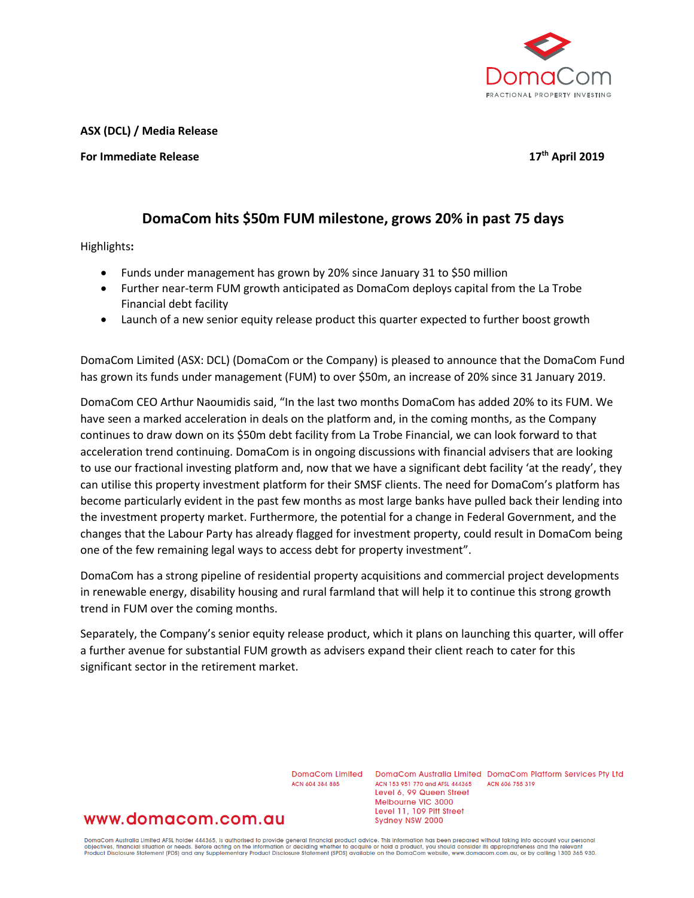

**ASX (DCL) / Media Release**

**For Immediate Release 17th April 2019**

## **DomaCom hits \$50m FUM milestone, grows 20% in past 75 days**

Highlights**:**

- Funds under management has grown by 20% since January 31 to \$50 million
- Further near-term FUM growth anticipated as DomaCom deploys capital from the La Trobe Financial debt facility
- Launch of a new senior equity release product this quarter expected to further boost growth

DomaCom Limited (ASX: DCL) (DomaCom or the Company) is pleased to announce that the DomaCom Fund has grown its funds under management (FUM) to over \$50m, an increase of 20% since 31 January 2019.

DomaCom CEO Arthur Naoumidis said, "In the last two months DomaCom has added 20% to its FUM. We have seen a marked acceleration in deals on the platform and, in the coming months, as the Company continues to draw down on its \$50m debt facility from La Trobe Financial, we can look forward to that acceleration trend continuing. DomaCom is in ongoing discussions with financial advisers that are looking to use our fractional investing platform and, now that we have a significant debt facility 'at the ready', they can utilise this property investment platform for their SMSF clients. The need for DomaCom's platform has become particularly evident in the past few months as most large banks have pulled back their lending into the investment property market. Furthermore, the potential for a change in Federal Government, and the changes that the Labour Party has already flagged for investment property, could result in DomaCom being one of the few remaining legal ways to access debt for property investment".

DomaCom has a strong pipeline of residential property acquisitions and commercial project developments in renewable energy, disability housing and rural farmland that will help it to continue this strong growth trend in FUM over the coming months.

Separately, the Company's senior equity release product, which it plans on launching this quarter, will offer a further avenue for substantial FUM growth as advisers expand their client reach to cater for this significant sector in the retirement market.

ACN 604 384 885

DomaCom Limited DomaCom Australia Limited DomaCom Platform Services Pty Ltd ACN 153 951 770 and AFSL 444365 ACN 606 755 319 Level 6, 99 Queen Street Melbourne VIC 3000 Level 11, 109 Pitt Street Sydney NSW 2000

## www.domacom.com.au

DomaCom Australia Limited AFSL holder 444365, is authorised to provide general financial product advice. This information has been prepared without taking into account your personal<br>objectives, financial situation or needs